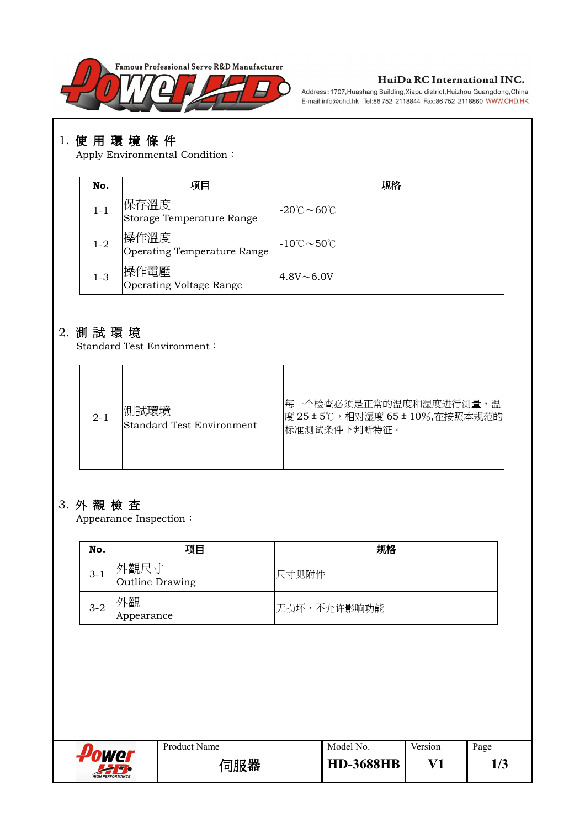

#### HuiDa RC International INC.

Address: 1707, Huashang Building, Xiapu district, Huizhou, Guangdong, China E-mail:info@chd.hk Tel:86 752 2118844 Fax:86 752 2118860 WWW.CHD.HK

# 1. 使用環境條件

Apply Environmental Condition:

| No.     | 项目                                           | 规格                                            |
|---------|----------------------------------------------|-----------------------------------------------|
| $1 - 1$ | 保存溫度<br>Storage Temperature Range            | $-20^{\circ}$ C $\sim$ 60 $^{\circ}$ C        |
| $1 - 2$ | 操作溫度<br>Operating Temperature Range          | $-10^{\circ}\text{C} \sim 50^{\circ}\text{C}$ |
| $1 - 3$ | <sup>!</sup> 操作電壓<br>Operating Voltage Range | $4.8V \sim 6.0V$                              |

#### 2. 測試環境

Standard Test Environment:

| $2 - 1$ | '測試環境<br>Standard Test Environment | 每一个检查必须是正常的温度和湿度进行测量,温<br> 度 25±5℃,相对湿度 65±10%,在按照本规范的 <br> 标准测试条件下判断特征。 |
|---------|------------------------------------|--------------------------------------------------------------------------|
|---------|------------------------------------|--------------------------------------------------------------------------|

# 3. 外觀檢查

Appearance Inspection $\colon$ 

| No.     | 项目                      | 规格          |
|---------|-------------------------|-------------|
| $3 - 1$ | 外觀尺寸<br>Outline Drawing | 尺寸见附件       |
| $3 - 2$ | ┞觀<br>Appearance        | 无损坏,不允许影响功能 |

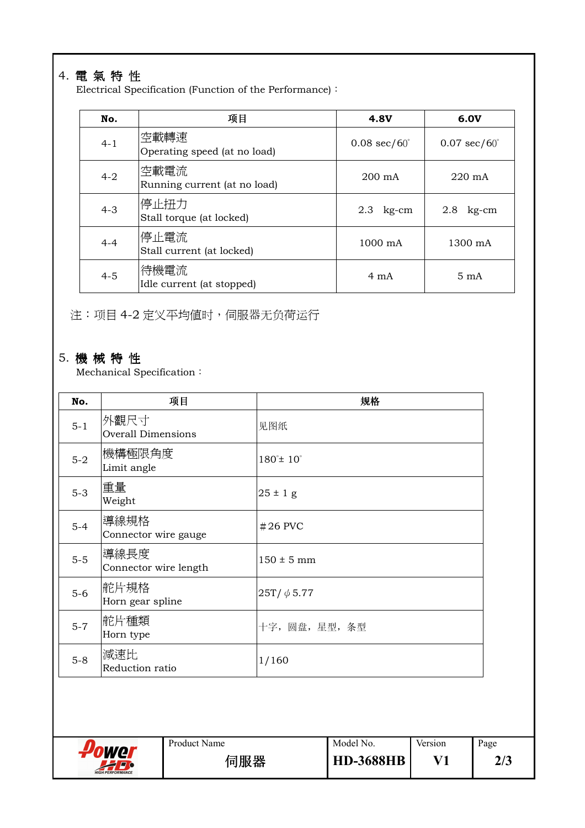# 4. 電氣特性

Electrical Specification (Function of the Performance) $\colon$ 

| No.     | 项目                                   | <b>4.8V</b>                   | 6.0V                          |
|---------|--------------------------------------|-------------------------------|-------------------------------|
| $4 - 1$ | 空載轉速<br>Operating speed (at no load) | $0.08 \text{ sec}/60^{\circ}$ | $0.07 \text{ sec}/60^{\circ}$ |
| $4 - 2$ | 空載電流<br>Running current (at no load) | $200 \text{ mA}$              | $220 \text{ mA}$              |
| $4 - 3$ | 停止扭力<br>Stall torque (at locked)     | $2.3$ kg-cm                   | 2.8<br>kg-cm                  |
| $4 - 4$ | 停止電流<br>Stall current (at locked)    | $1000 \text{ mA}$             | 1300 mA                       |
| $4 - 5$ | 待機電流<br>Idle current (at stopped)    | 4 mA                          | $5 \text{ mA}$                |

注:项目4-2 定义平均值时,伺服器无负荷运行

## 5. 機械特性

Mechanical Specification :

| No.     | 项目                                | 规格                           |
|---------|-----------------------------------|------------------------------|
| $5 - 1$ | 外觀尺寸<br><b>Overall Dimensions</b> | 见图纸                          |
| $5-2$   | 機構極限角度<br>Limit angle             | $180^{\circ}$ ± $10^{\circ}$ |
| $5-3$   | 重量<br>Weight                      | $25 \pm 1$ g                 |
| $5-4$   | 導線規格<br>Connector wire gauge      | $#26$ PVC                    |
| $5-5$   | 導線長度<br>Connector wire length     | $150 \pm 5$ mm               |
| $5-6$   | 舵片規格<br>Horn gear spline          | $25T/\phi$ 5.77              |
| $5 - 7$ | 舵片種類<br>Horn type                 | 十字, 圆盘, 星型, 条型               |
| $5-8$   | 減速比<br>Reduction ratio            | 1/160                        |

**Power** Product Name Model No. Version Page 伺服器 **HD-3688HB V1 2/3**